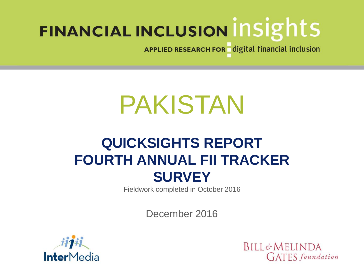APPLIED RESEARCH FOR digital financial inclusion

# PAKISTAN

# **QUICKSIGHTS REPORT FOURTH ANNUAL FII TRACKER SURVEY**

Fieldwork completed in October 2016

December 2016



**BILL&MELINDA GATES** foundation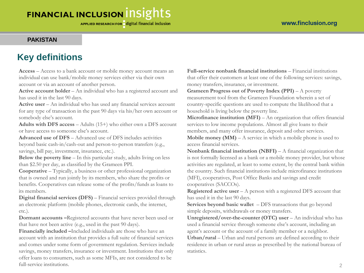#### **PAKISTAN**

# **Key definitions**

**Access** – Access to a bank account or mobile money account means an individual can use bank/mobile money services either via their own account or via an account of another person.

**Active account holder** – An individual who has a registered account and has used it in the last 90 days.

**Active user** – An individual who has used any financial services account for any type of transaction in the past 90 days via his/her own account or somebody else's account.

**Adults with DFS access** – Adults (15+) who either own a DFS account or have access to someone else's account.

**Advanced use of DFS** – Advanced use of DFS includes activities beyond basic cash-in/cash-out and person-to-person transfers (e.g., savings, bill pay, investment, insurance, etc.).

**Below the poverty line** – In this particular study, adults living on less than \$2.50 per day, as classified by the Grameen PPI.

**Cooperative** – Typically, a business or other professional organization that is owned and run jointly by its members, who share the profits or benefits. Cooperatives can release some of the profits/funds as loans to its members.

**Digital financial services (DFS)** – Financial services provided through an electronic platform (mobile phones, electronic cards, the internet, etc.).

**Dormant accounts –**Registered accounts that have never been used or that have not been active (e.g., used in the past 90 days).

**Financially included –**Included individuals are those who have an account with an institution that provides a full suite of financial services and comes under some form of government regulation. Services include savings, money transfers, insurance or investment. Institutions that only offer loans to consumers, such as some MFIs, are not considered to be full-service institutions.

**Full-service nonbank financial institutions** – Financial institutions that offer their customers at least one of the following services: savings, money transfers, insurance, or investment.

#### **Grameen Progress out of Poverty Index (PPI)** – A poverty

measurement tool from the Grameen Foundation wherein a set of country-specific questions are used to compute the likelihood that a household is living below the poverty line.

**Microfinance institution (MFI)** – An organization that offers financial services to low income populations. Almost all give loans to their members, and many offer insurance, deposit and other services.

**Mobile money (MM)** – A service in which a mobile phone is used to access financial services.

**Nonbank financial institution (NBFI)** – A financial organization that is not formally licensed as a bank or a mobile money provider, but whose activities are regulated, at least to some extent, by the central bank within the country. Such financial institutions include microfinance institutions (MFI), cooperatives, Post Office Banks and savings and credit cooperatives (SACCOs).

**Registered active user** – A person with a registered DFS account that has used it in the last 90 days.

**Services beyond basic wallet** – DFS transactions that go beyond simple deposits, withdrawals or money transfers.

**Unregistered/over-the-counter (OTC) user** – An individual who has used a financial service through someone else's account, including an agent's account or the account of a family member or a neighbor. **Urban/rural** – Urban and rural persons are defined according to their

residence in urban or rural areas as prescribed by the national bureau of statistics.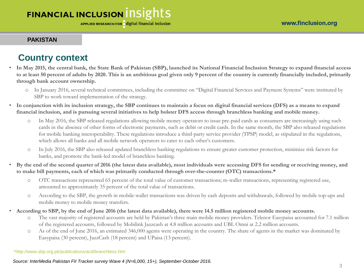#### **PAKISTAN**

# **Country context**

- **In May 2015, the central bank, the State Bank of Pakistan (SBP), launched its National Financial Inclusion Strategy to expand financial access to at least 50 percent of adults by 2020. This is an ambitious goal given only 9 percent of the country is currently financially included, primarily through bank account ownership.**
	- o In January 2016, several technical committees, including the committee on "Digital Financial Services and Payment Systems" were instituted by SBP to work toward implementation of the strategy.
- **In conjunction with its inclusion strategy, the SBP continues to maintain a focus on digital financial services (DFS) as a means to expand financial inclusion, and is pursuing several initiatives to help bolster DFS access through branchless banking and mobile money.**
	- o In May 2016, the SBP released regulations allowing mobile money operators to issue pre-paid cards as consumers are increasingly using such cards in the absence of other forms of electronic payments, such as debit or credit cards. In the same month, the SBP also released regulations for mobile banking interoperability. These regulations introduce a third-party service provider (TPSP) model, as stipulated in the regulations, which allows all banks and all mobile network operators to cater to each other's customers.
	- o In July 2016, the SBP also released updated branchless banking regulations to ensure greater customer protection, minimize risk factors for banks, and promote the bank-led model of branchless banking.
- **By the end of the second quarter of 2016 (the latest data available), most individuals were accessing DFS for sending or receiving money, and to make bill payments, each of which was primarily conducted through over-the-counter (OTC) transactions.\***
	- o OTC transactions represented 65 percent of the total value of customer transactions; m-wallet transactions, representing registered use, amounted to approximately 35 percent of the total value of transactions.
	- o According to the SBP, the growth in mobile-wallet transactions was driven by cash deposits and withdrawals, followed by mobile top-ups and mobile money to mobile money transfers.
- **According to SBP, by the end of June 2016 (the latest data available), there were 14.5 million registered mobile money accounts.**
	- o The vast majority of registered accounts are held by Pakistan's three main mobile money providers. Telenor Easypaisa accounted for 7.1 million of the registered accounts, followed by Mobilink Jazzcash at 4.8 million accounts and UBL Omni at 2.2 million accounts.
	- o As of the end of June 2016, an estimated 346,000 agents were operating in the country. The share of agents in the market was dominated by Easypaisa (30 percent), JazzCash (18 percent) and UPaisa (13 percent).

\*http://www.sbp.org.pk/publications/acd/branchless.htm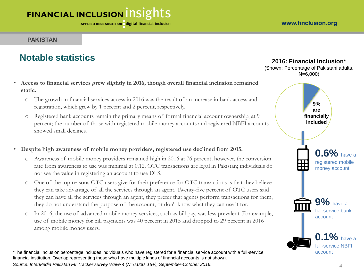#### **PAKISTAN**

# **Notable statistics**

- **Access to financial services grew slightly in 2016, though overall financial inclusion remained static.**
	- o The growth in financial services access in 2016 was the result of an increase in bank access and registration, which grew by 1 percent and 2 percent, respectively.
	- o Registered bank accounts remain the primary means of formal financial account ownership, at 9 percent; the number of those with registered mobile money accounts and registered NBFI accounts showed small declines.
- **Despite high awareness of mobile money providers, registered use declined from 2015.** 
	- o Awareness of mobile money providers remained high in 2016 at 76 percent; however, the conversion rate from awareness to use was minimal at 0.12. OTC transactions are legal in Pakistan; individuals do not see the value in registering an account to use DFS.
	- o One of the top reasons OTC users give for their preference for OTC transactions is that they believe they can take advantage of all the services through an agent. Twenty-five percent of OTC users said they can have all the services through an agent, they prefer that agents perform transactions for them, they do not understand the purpose of the account, or don't know what they can use it for.
	- o In 2016, the use of advanced mobile money services, such as bill pay, was less prevalent. For example, use of mobile money for bill payments was 40 percent in 2015 and dropped to 29 percent in 2016 among mobile money users.

\*The financial inclusion percentage includes individuals who have registered for a financial service account with a full-service financial institution. Overlap representing those who have multiple kinds of financial accounts is not shown. *Source: InterMedia Pakistan FII Tracker survey Wave 4 (N=6,000, 15+), September-October 2016.* 4

#### **2016: Financial Inclusion\***

(Shown: Percentage of Pakistani adults, N=6,000)

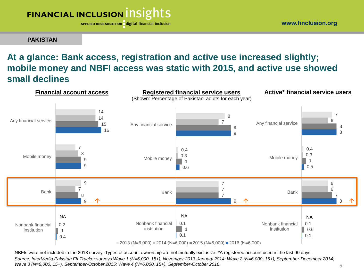APPLIED RESEARCH FOR digital financial inclusion

**PAKISTAN**

# **At a glance: Bank access, registration and active use increased slightly; mobile money and NBFI access was static with 2015, and active use showed small declines**



NBFIs were not included in the 2013 survey. Types of account ownership are not mutually exclusive. \*A registered account used in the last 90 days. *Source: InterMedia Pakistan FII Tracker surveys Wave 1 (N=6,000, 15+), November 2013-January 2014; Wave 2 (N=6,000, 15+), September-December 2014; Wave 3 (N=6,000, 15+), September-October 2015; Wave 4 (N=6,000, 15+), September-October 2016.* 5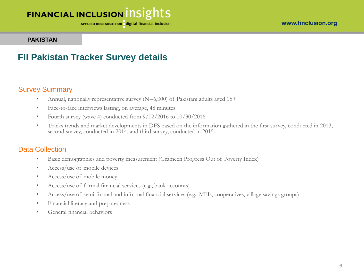APPLIED RESEARCH FOR digital financial inclusion

#### **PAKISTAN**

### **FII Pakistan Tracker Survey details**

#### Survey Summary

- Annual, nationally representative survey (N=6,000) of Pakistani adults aged 15+
- Face-to-face interviews lasting, on average, 48 minutes
- Fourth survey (wave 4) conducted from  $9/02/2016$  to  $10/30/2016$
- Tracks trends and market developments in DFS based on the information gathered in the first survey, conducted in 2013, second survey, conducted in 2014, and third survey, conducted in 2015.

#### Data Collection

- Basic demographics and poverty measurement (Grameen Progress Out of Poverty Index)
- Access/use of mobile devices
- Access/use of mobile money
- Access/use of formal financial services (e.g., bank accounts)
- Access/use of semi-formal and informal financial services (e.g., MFIs, cooperatives, village savings groups)
- Financial literacy and preparedness
- General financial behaviors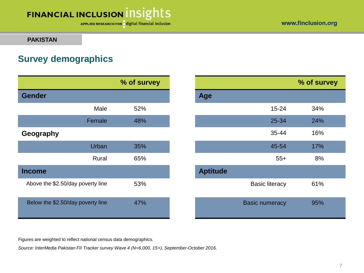APPLIED RESEARCH FOR digital financial inclusion

#### **PAKISTAN**

# **Survey demographics**

|                                   |        | % of survey |                 |                       |
|-----------------------------------|--------|-------------|-----------------|-----------------------|
| <b>Gender</b>                     |        |             | Age             |                       |
|                                   | Male   | 52%         |                 | $15 - 24$             |
|                                   | Female | 48%         |                 | 25-34                 |
| Geography                         |        |             |                 | 35-44                 |
|                                   | Urban  | 35%         |                 | 45-54                 |
|                                   | Rural  | 65%         |                 | $55+$                 |
| <b>Income</b>                     |        |             | <b>Aptitude</b> |                       |
| Above the \$2.50/day poverty line |        | 53%         |                 | <b>Basic literacy</b> |
| Below the \$2.50/day poverty line |        | 47%         |                 | <b>Basic numeracy</b> |

|           | % of survey |                 |                       | % of survey |
|-----------|-------------|-----------------|-----------------------|-------------|
|           |             | Age             |                       |             |
| Male      | 52%         |                 | $15 - 24$             | 34%         |
| Female    | 48%         |                 | 25-34                 | 24%         |
|           |             |                 | 35-44                 | 16%         |
| Urban     | 35%         |                 | 45-54                 | 17%         |
| Rural     | 65%         |                 | $55+$                 | 8%          |
|           |             | <b>Aptitude</b> |                       |             |
| erty line | 53%         |                 | <b>Basic literacy</b> | 61%         |
| erty line | 47%         |                 | <b>Basic numeracy</b> | 95%         |

Figures are weighted to reflect national census data demographics.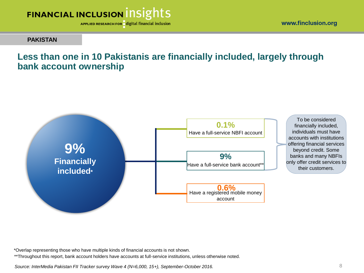

www.finclusion.org

#### **PAKISTAN**

### **Less than one in 10 Pakistanis are financially included, largely through bank account ownership**



\*Overlap representing those who have multiple kinds of financial accounts is not shown.

\*\*Throughout this report, bank account holders have accounts at full-service institutions, unless otherwise noted.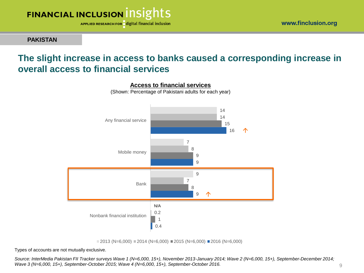



**PAKISTAN**

### **The slight increase in access to banks caused a corresponding increase in overall access to financial services**



**Access to financial services**

(Shown: Percentage of Pakistani adults for each year)

 $\Box$  2013 (N=6,000)  $\Box$  2014 (N=6,000)  $\Box$  2015 (N=6,000)  $\Box$  2016 (N=6,000)

Types of accounts are not mutually exclusive.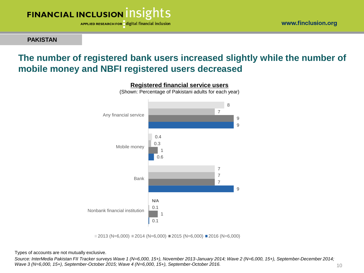APPLIED RESEARCH FOR digital financial inclusion

**PAKISTAN**

# **The number of registered bank users increased slightly while the number of mobile money and NBFI registered users decreased**



 $\blacksquare$  2013 (N=6,000)  $\blacksquare$  2014 (N=6,000)  $\blacksquare$  2015 (N=6,000)  $\blacksquare$  2016 (N=6,000)

Types of accounts are not mutually exclusive.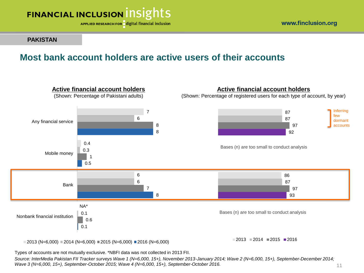

**PAKISTAN**

#### www.finclusion.org

### **Most bank account holders are active users of their accounts**



 $12013$  (N=6,000)  $12014$  (N=6,000)  $12015$  (N=6,000)  $12016$  (N=6,000)

 $\blacksquare$ 2013  $\blacksquare$ 2014  $\blacksquare$ 2015  $\blacksquare$ 2016

Types of accounts are not mutually exclusive. \*NBFI data was not collected in 2013 FII.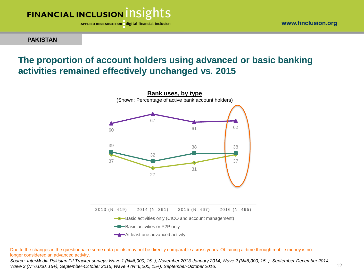



#### **PAKISTAN**

# **The proportion of account holders using advanced or basic banking activities remained effectively unchanged vs. 2015**



Due to the changes in the questionnaire some data points may not be directly comparable across years. Obtaining airtime through mobile money is no longer considered an advanced activity.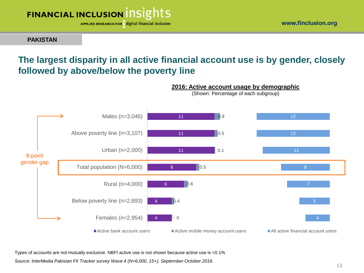

**PAKISTAN**

# **The largest disparity in all active financial account use is by gender, closely followed by above/below the poverty line**



**2016: Active account usage by demographic** (Shown: Percentage of each subgroup)

Types of accounts are not mutually exclusive. NBFI active use is not shown because active use is <0.1%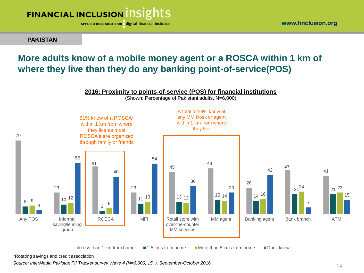

**PAKISTAN**

### **More adults know of a mobile money agent or a ROSCA within 1 km of where they live than they do any banking point-of-service(POS)**



\*Rotating savings and credit association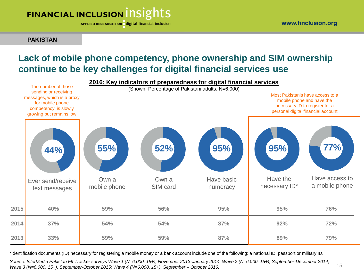APPLIED RESEARCH FOR digital financial inclusion

**PAKISTAN**

15

## **Lack of mobile phone competency, phone ownership and SIM ownership continue to be key challenges for digital financial services use**



\*Identification documents (ID) necessary for registering a mobile money or a bank account include one of the following: a national ID, passport or military ID.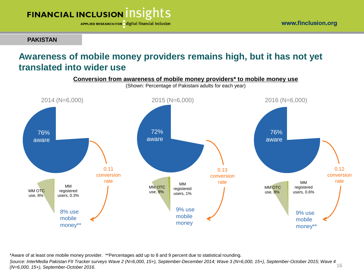APPLIED RESEARCH FOR digital financial inclusion

**PAKISTAN**

# **Awareness of mobile money providers remains high, but it has not yet translated into wider use**



\*Aware of at least one mobile money provider. \*\*Percentages add up to 8 and 9 percent due to statistical rounding.

*. Source: InterMedia Pakistan FII Tracker surveys Wave 2 (N=6,000, 15+), September-December 2014; Wave 3 (N=6,000, 15+), September-October 2015; Wave 4*  16 *(N=6,000, 15+), September-October 2016.*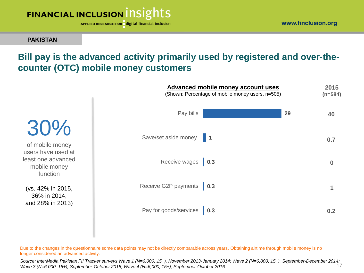

**PAKISTAN**

# **Bill pay is the advanced activity primarily used by registered and over-thecounter (OTC) mobile money customers**

**Advanced mobile money account uses**

**(n=584) 40** (Shown: Percentage of mobile money users, n=505) 30% of mobile money users have used at least one advanced mobile money function (vs. 42% in 2015, 36% in 2014, and 28% in 2013) **0 0.7 1 0.3 0.3 0.3 1 29** Pay for goods/services Receive G2P payments Receive wages Save/set aside money Pay bills **0.2**

Due to the changes in the questionnaire some data points may not be directly comparable across years. Obtaining airtime through mobile money is no longer considered an advanced activity.

17 *Source: InterMedia Pakistan FII Tracker surveys Wave 1 (N=6,000, 15+), November 2013-January 2014; Wave 2 (N=6,000, 15+), September-December 2014; Wave 3 (N=6,000, 15+), September-October 2015; Wave 4 (N=6,000, 15+), September-October 2016.* 

**2015**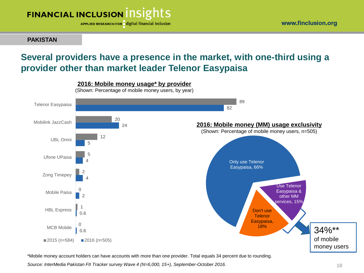

**PAKISTAN**

# **Several providers have a presence in the market, with one-third using a provider other than market leader Telenor Easypaisa**



\*Mobile money account holders can have accounts with more than one provider. Total equals 34 percent due to rounding.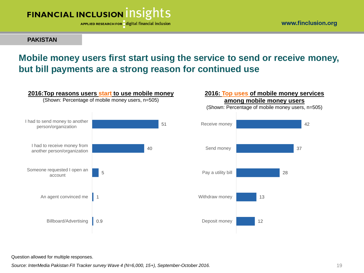

**PAKISTAN**

## **Mobile money users first start using the service to send or receive money, but bill payments are a strong reason for continued use**



#### **2016: Top uses of mobile money services among mobile money users**

(Shown: Percentage of mobile money users, n=505)



#### Question allowed for multiple responses.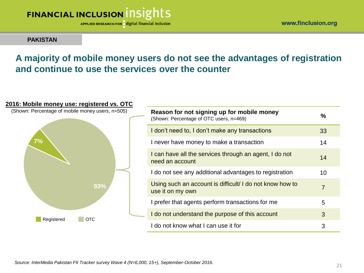

www.finclusion.org

#### **PAKISTAN**

# **A majority of mobile money users do not see the advantages of registration and continue to use the services over the counter**

### **93% 7% Reason for not signing up for mobile money** (Shown: Percentage of OTC users, n=469) **%** I don't need to, I don't make any transactions 33 I never have money to make a transaction 14 I can have all the services through an agent, I do not  $14$ I do not see any additional advantages to registration 10 Using such an account is difficult/ I do not know how to use it on my own <sup>7</sup> I prefer that agents perform transactions for me I do not understand the purpose of this account 3 I do not know what I can use it for 3 (Shown: Percentage of mobile money users, n=505) Registered OTC

#### **2016: Mobile money use: registered vs. OTC**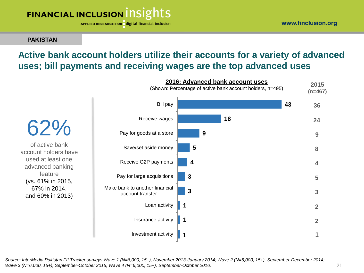APPLIED RESEARCH FOR digital financial inclusion

#### **PAKISTAN**

# **Active bank account holders utilize their accounts for a variety of advanced uses; bill payments and receiving wages are the top advanced uses**

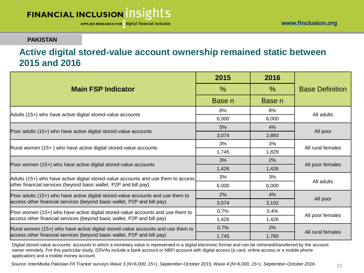#### **PAKISTAN**

### **Active digital stored-value account ownership remained static between 2015 and 2016**

|                                                                                   | 2015   | 2016   | <b>Base Definition</b> |  |
|-----------------------------------------------------------------------------------|--------|--------|------------------------|--|
| <b>Main FSP Indicator</b>                                                         | $\%$   | $\%$   |                        |  |
|                                                                                   | Base n | Base n |                        |  |
|                                                                                   | 8%     | 8%     | All adults             |  |
| Adults (15+) who have active digital stored-value accounts                        | 6,000  | 6,000  |                        |  |
|                                                                                   | 5%     | 4%     | All poor               |  |
| Poor adults (15+) who have active digital stored-value accounts                   | 3,074  | 2,893  |                        |  |
|                                                                                   | 3%     | 3%     | All rural females      |  |
| Rural women (15+) who have active digital stored-value accounts                   | 1,745  | 1,829  |                        |  |
|                                                                                   | 3%     | 2%     | All poor females       |  |
| Poor women (15+) who have active digital stored-value accounts                    | 1,426  | 1,426  |                        |  |
| Adults (15+) who have active digital stored-value accounts and use them to access | 3%     | 3%     |                        |  |
| other financial services (beyond basic wallet, P2P and bill pay)                  | 6,000  | 6,000  | All adults             |  |
| Poor adults (15+) who have active digital stored-value accounts and use them to   | 2%     | 4%     |                        |  |
| access other financial services (beyond basic wallet, P2P and bill pay)           | 3,074  | 3,102  | All poor               |  |
| Poor women (15+) who have active digital stored-value accounts and use them to    | 0.7%   | 0.4%   | All poor females       |  |
| access other financial services (beyond basic wallet, P2P and bill pay)           | 1,426  | 1,426  |                        |  |
| Rural women (15+) who have active digital stored-value accounts and use them to   | 0.7%   | 2%     |                        |  |
| access other financial services (beyond basic wallet, P2P and bill pay)           | 1,745  | 1,760  | All rural females      |  |

Digital stored-value accounts: accounts in which a monetary value is represented in a digital electronic format and can be retrieved/transferred by the account owner remotely. For this particular study, DSVAs include a bank account or NBFI account with digital access (a card, online access or a mobile phone application) and a mobile money account.

*Source: InterMedia Pakistan FII Tracker surveys Wave 3 (N=6,000, 15+), September-October 2015; Wave 4 (N=6,000, 15+), September-October 2016.*